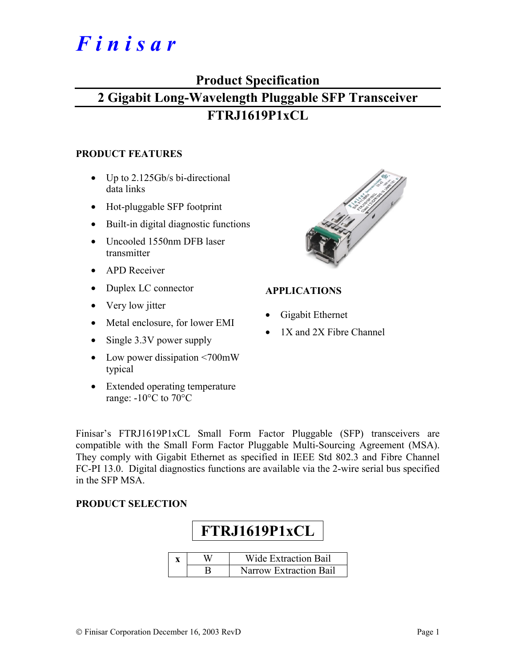# *F i n i s a r*

### **Product Specification**

## **2 Gigabit Long-Wavelength Pluggable SFP Transceiver FTRJ1619P1xCL**

#### **PRODUCT FEATURES**

- Up to 2.125Gb/s bi-directional data links
- Hot-pluggable SFP footprint
- Built-in digital diagnostic functions
- Uncooled 1550nm DFB laser transmitter
- APD Receiver
- Duplex LC connector
- Very low jitter
- Metal enclosure, for lower EMI
- Single 3.3V power supply
- Low power dissipation <700mW typical
- Extended operating temperature range: -10°C to 70°C



#### **APPLICATIONS**

- Gigabit Ethernet
- 1X and 2X Fibre Channel

Finisar's FTRJ1619P1xCL Small Form Factor Pluggable (SFP) transceivers are compatible with the Small Form Factor Pluggable Multi-Sourcing Agreement (MSA). They comply with Gigabit Ethernet as specified in IEEE Std 802.3 and Fibre Channel FC-PI 13.0. Digital diagnostics functions are available via the 2-wire serial bus specified in the SFP MSA.

#### **PRODUCT SELECTION**

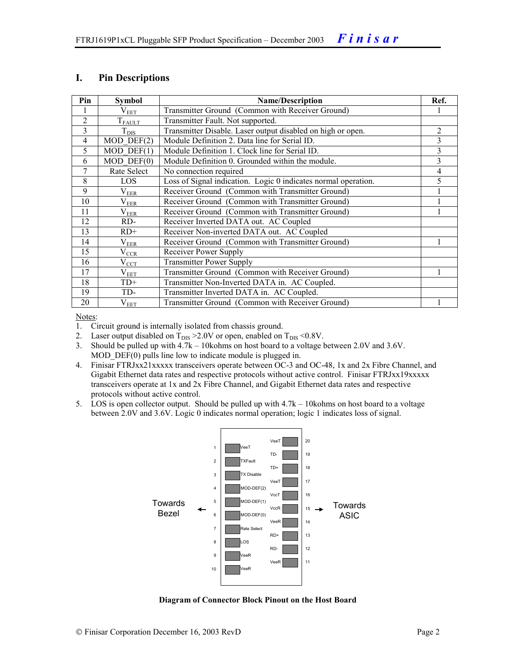#### **I. Pin Descriptions**

| Pin            | <b>Symbol</b>   | <b>Name/Description</b>                                        | Ref.           |
|----------------|-----------------|----------------------------------------------------------------|----------------|
|                | $\rm V_{EET}$   | Transmitter Ground (Common with Receiver Ground)               |                |
| $\overline{2}$ | $T_{FAULT}$     | Transmitter Fault. Not supported.                              |                |
| 3              | $T_{\rm DIS}$   | Transmitter Disable. Laser output disabled on high or open.    | $\overline{2}$ |
| $\overline{4}$ | $MOD$ DEF $(2)$ | Module Definition 2. Data line for Serial ID.                  | 3              |
| 5              | $MOD$ DEF $(1)$ | Module Definition 1. Clock line for Serial ID.                 | 3              |
| 6              | $MOD$ $DEF(0)$  | Module Definition 0. Grounded within the module.               | 3              |
| 7              | Rate Select     | No connection required                                         | 4              |
| 8              | LOS             | Loss of Signal indication. Logic 0 indicates normal operation. | 5              |
| 9              | $\rm V_{EER}$   | Receiver Ground (Common with Transmitter Ground)               |                |
| 10             | $\rm V_{EER}$   | Receiver Ground (Common with Transmitter Ground)               |                |
| 11             | $V_{EER}$       | Receiver Ground (Common with Transmitter Ground)               |                |
| 12             | RD-             | Receiver Inverted DATA out. AC Coupled                         |                |
| 13             | $RD+$           | Receiver Non-inverted DATA out. AC Coupled                     |                |
| 14             | $\rm V_{EER}$   | Receiver Ground (Common with Transmitter Ground)               |                |
| 15             | $\rm V_{CCR}$   | Receiver Power Supply                                          |                |
| 16             | $V_{\rm CCT}$   | <b>Transmitter Power Supply</b>                                |                |
| 17             | $\rm V_{EET}$   | Transmitter Ground (Common with Receiver Ground)               |                |
| 18             | $TD+$           | Transmitter Non-Inverted DATA in. AC Coupled.                  |                |
| 19             | TD-             | Transmitter Inverted DATA in. AC Coupled.                      |                |
| 20             | $\rm V_{EET}$   | Transmitter Ground (Common with Receiver Ground)               |                |

Notes:

- 1. Circuit ground is internally isolated from chassis ground.
- 2. Laser output disabled on  $T_{DIS} > 2.0V$  or open, enabled on  $T_{DIS} < 0.8V$ .
- 3. Should be pulled up with 4.7k 10kohms on host board to a voltage between 2.0V and 3.6V. MOD DEF(0) pulls line low to indicate module is plugged in.
- 4. Finisar FTRJxx21xxxxx transceivers operate between OC-3 and OC-48, 1x and 2x Fibre Channel, and Gigabit Ethernet data rates and respective protocols without active control. Finisar FTRJxx19xxxxx transceivers operate at 1x and 2x Fibre Channel, and Gigabit Ethernet data rates and respective protocols without active control.
- 5. LOS is open collector output. Should be pulled up with 4.7k 10kohms on host board to a voltage between 2.0V and 3.6V. Logic 0 indicates normal operation; logic 1 indicates loss of signal.



**Diagram of Connector Block Pinout on the Host Board**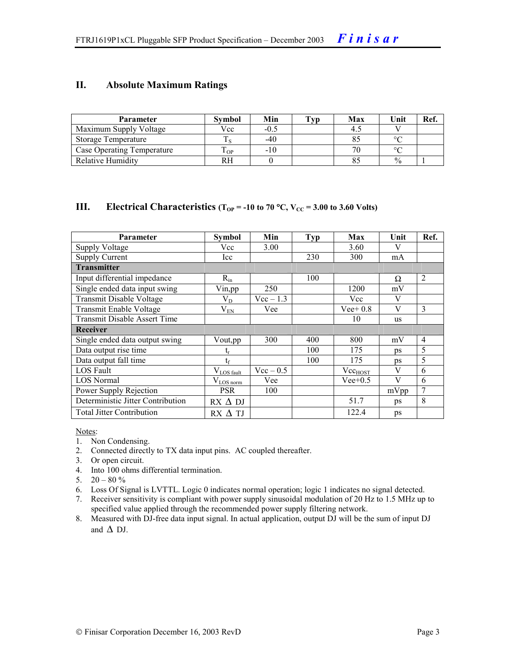#### **II. Absolute Maximum Ratings**

| <b>Parameter</b>           | Svmbol | Min    | Tvp. | Max | Unit          | Ref. |
|----------------------------|--------|--------|------|-----|---------------|------|
| Maximum Supply Voltage     | Vcc    | $-0.5$ |      | 4.1 |               |      |
| Storage Temperature        |        | -40    |      |     | $\circ$       |      |
| Case Operating Temperature | OP     | $-10$  |      |     |               |      |
| Relative Humidity          |        |        |      |     | $\frac{0}{0}$ |      |

#### **III.** Electrical Characteristics ( $T_{OP}$  = -10 to 70 °C,  $V_{CC}$  = 3.00 to 3.60 Volts)

| <b>Parameter</b>                  | Symbol                  | Min         | <b>Typ</b> | Max          | Unit      | Ref.           |
|-----------------------------------|-------------------------|-------------|------------|--------------|-----------|----------------|
| <b>Supply Voltage</b>             | Vcc                     | 3.00        |            | 3.60         | V         |                |
| <b>Supply Current</b>             | Icc                     |             | 230        | 300          | mA        |                |
| <b>Transmitter</b>                |                         |             |            |              |           |                |
| Input differential impedance      | $R_{in}$                |             | 100        |              | Ω         | 2              |
| Single ended data input swing     | $V$ in, pp              | 250         |            | 1200         | mV        |                |
| <b>Transmit Disable Voltage</b>   | $\rm V_{D}$             | $Vec-1.3$   |            | Vcc          | V         |                |
| Transmit Enable Voltage           | $V_{EN}$                | Vee         |            | Vee + $0.8$  | V         | 3              |
| Transmit Disable Assert Time      |                         |             |            | 10           | <b>us</b> |                |
| <b>Receiver</b>                   |                         |             |            |              |           |                |
| Single ended data output swing    | Vout, pp                | 300         | 400        | 800          | mV        | $\overline{4}$ |
| Data output rise time             |                         |             | 100        | 175          | ps        | 5              |
| Data output fall time             | $t_{\rm f}$             |             | 100        | 175          | ps        | 5              |
| LOS Fault                         | $V_{LOS \text{ fault}}$ | $Vec - 0.5$ |            | $Vec_{HOST}$ | V         | 6              |
| <b>LOS</b> Normal                 | $V_{LOS\,norm}$         | Vee         |            | $Vee+0.5$    | V         | 6              |
| Power Supply Rejection            | <b>PSR</b>              | 100         |            |              | mVpp      | $\overline{7}$ |
| Deterministic Jitter Contribution | $RX \Delta DI$          |             |            | 51.7         | ps        | 8              |
| <b>Total Jitter Contribution</b>  | $RX \Delta TI$          |             |            | 122.4        | ps        |                |

Notes:

- 1. Non Condensing.
- 2. Connected directly to TX data input pins. AC coupled thereafter.
- 3. Or open circuit.
- 4. Into 100 ohms differential termination.
- 5.  $20 80 \%$
- 6. Loss Of Signal is LVTTL. Logic 0 indicates normal operation; logic 1 indicates no signal detected.
- 7. Receiver sensitivity is compliant with power supply sinusoidal modulation of 20 Hz to 1.5 MHz up to specified value applied through the recommended power supply filtering network.
- 8. Measured with DJ-free data input signal. In actual application, output DJ will be the sum of input DJ and  $\Delta$  DJ.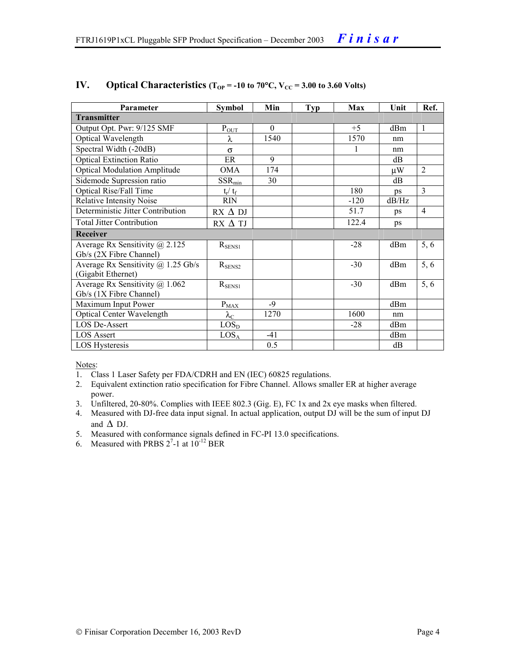| Parameter                                                        | <b>Symbol</b>     | Min      | <b>Typ</b> | Max    | Unit  | Ref.           |
|------------------------------------------------------------------|-------------------|----------|------------|--------|-------|----------------|
| <b>Transmitter</b>                                               |                   |          |            |        |       |                |
| Output Opt. Pwr: 9/125 SMF                                       | $P_{OUT}$         | $\theta$ |            | $+5$   | dBm   | $\overline{1}$ |
| <b>Optical Wavelength</b>                                        | λ                 | 1540     |            | 1570   | nm    |                |
| Spectral Width (-20dB)                                           | $\sigma$          |          |            |        | nm    |                |
| <b>Optical Extinction Ratio</b>                                  | ER                | 9        |            |        | dB    |                |
| <b>Optical Modulation Amplitude</b>                              | OMA               | 174      |            |        | μW    | $\overline{2}$ |
| Sidemode Supression ratio                                        | $SSR_{min}$       | 30       |            |        | dB    |                |
| Optical Rise/Fall Time                                           | $t_r / t_f$       |          |            | 180    | ps    | $\overline{3}$ |
| <b>Relative Intensity Noise</b>                                  | <b>RIN</b>        |          |            | $-120$ | dB/Hz |                |
| Deterministic Jitter Contribution                                | $RX \Delta DI$    |          |            | 51.7   | ps    | $\overline{4}$ |
| <b>Total Jitter Contribution</b>                                 | $RX \Delta TI$    |          |            | 122.4  | ps    |                |
| Receiver                                                         |                   |          |            |        |       |                |
| Average Rx Sensitivity $\omega$ 2.125<br>Gb/s (2X Fibre Channel) | $R_{SENS1}$       |          |            | $-28$  | dBm   | 5, 6           |
| Average Rx Sensitivity $(a)$ 1.25 Gb/s<br>(Gigabit Ethernet)     | $R_{\rm SENS2}$   |          |            | $-30$  | dBm   | 5,6            |
| Average Rx Sensitivity @ 1.062<br>Gb/s (1X Fibre Channel)        | $R_{SENS1}$       |          |            | $-30$  | dBm   | 5, 6           |
| Maximum Input Power                                              | $P_{MAX}$         | $-9$     |            |        | dBm   |                |
| <b>Optical Center Wavelength</b>                                 | $\lambda_{\rm C}$ | 1270     |            | 1600   | nm    |                |
| <b>LOS De-Assert</b>                                             | LOS <sub>D</sub>  |          |            | $-28$  | dBm   |                |
| <b>LOS Assert</b>                                                | LOS <sub>A</sub>  | $-41$    |            |        | dBm   |                |
| LOS Hysteresis                                                   |                   | 0.5      |            |        | dB    |                |

#### IV. Optical Characteristics ( $T_{OP}$  = -10 to 70°C,  $V_{CC}$  = 3.00 to 3.60 Volts)

Notes:

- 1. Class 1 Laser Safety per FDA/CDRH and EN (IEC) 60825 regulations.
- 2. Equivalent extinction ratio specification for Fibre Channel. Allows smaller ER at higher average power.
- 3. Unfiltered, 20-80%. Complies with IEEE 802.3 (Gig. E), FC 1x and 2x eye masks when filtered.
- 4. Measured with DJ-free data input signal. In actual application, output DJ will be the sum of input DJ and  $\Delta$  DJ.
- 5. Measured with conformance signals defined in FC-PI 13.0 specifications.
- 6. Measured with PRBS  $2^7$ -1 at  $10^{-12}$  BER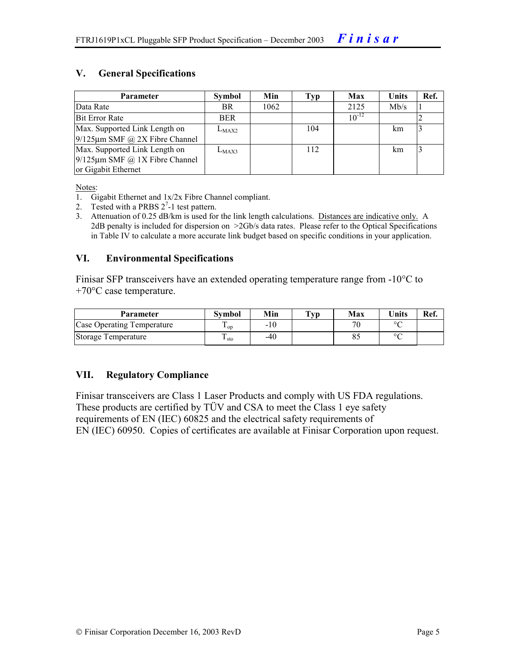#### **V. General Specifications**

| <b>Parameter</b>                     | Symbol     | Min  | Typ | Max        | Units | Ref. |
|--------------------------------------|------------|------|-----|------------|-------|------|
| Data Rate                            | BR.        | 1062 |     | 2125       | Mb/s  |      |
| <b>Bit Error Rate</b>                | <b>BER</b> |      |     | $10^{-12}$ |       |      |
| Max. Supported Link Length on        | $L_{MAX2}$ |      | 104 |            | km    |      |
| $9/125 \mu m$ SMF @ 2X Fibre Channel |            |      |     |            |       |      |
| Max. Supported Link Length on        | $L_{MAX3}$ |      | 112 |            | km    |      |
| $9/125 \mu m$ SMF @ 1X Fibre Channel |            |      |     |            |       |      |
| or Gigabit Ethernet                  |            |      |     |            |       |      |

Notes:

- 1. Gigabit Ethernet and 1x/2x Fibre Channel compliant.
- 2. Tested with a PRBS  $2^7$ -1 test pattern.
- 3. Attenuation of 0.25 dB/km is used for the link length calculations. Distances are indicative only. A 2dB penalty is included for dispersion on >2Gb/s data rates. Please refer to the Optical Specifications in Table IV to calculate a more accurate link budget based on specific conditions in your application.

#### **VI. Environmental Specifications**

Finisar SFP transceivers have an extended operating temperature range from -10°C to +70°C case temperature.

| Parameter                  | Svmbol | Min | $\mathbf{T}_{\mathbf{V}\mathbf{p}}$ | Max | <b>Units</b> | Ref. |
|----------------------------|--------|-----|-------------------------------------|-----|--------------|------|
| Case Operating Temperature | ' op   | -10 |                                     | חר  | $\circ$      |      |
| Storage Temperature        | ⊥ sto  | -40 |                                     |     | $\sim$       |      |

#### **VII. Regulatory Compliance**

Finisar transceivers are Class 1 Laser Products and comply with US FDA regulations. These products are certified by TÜV and CSA to meet the Class 1 eye safety requirements of EN (IEC) 60825 and the electrical safety requirements of EN (IEC) 60950. Copies of certificates are available at Finisar Corporation upon request.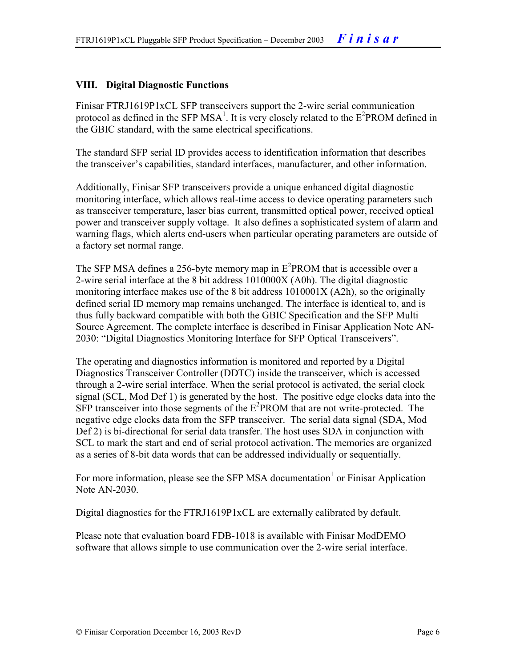#### **VIII. Digital Diagnostic Functions**

Finisar FTRJ1619P1xCL SFP transceivers support the 2-wire serial communication protocol as defined in the SFP MSA<sup>1</sup>. It is very closely related to the  $E^2$ PROM defined in the GBIC standard, with the same electrical specifications.

The standard SFP serial ID provides access to identification information that describes the transceiver's capabilities, standard interfaces, manufacturer, and other information.

Additionally, Finisar SFP transceivers provide a unique enhanced digital diagnostic monitoring interface, which allows real-time access to device operating parameters such as transceiver temperature, laser bias current, transmitted optical power, received optical power and transceiver supply voltage. It also defines a sophisticated system of alarm and warning flags, which alerts end-users when particular operating parameters are outside of a factory set normal range.

The SFP MSA defines a 256-byte memory map in  $E^2$ PROM that is accessible over a 2-wire serial interface at the 8 bit address 1010000X (A0h). The digital diagnostic monitoring interface makes use of the 8 bit address 1010001X (A2h), so the originally defined serial ID memory map remains unchanged. The interface is identical to, and is thus fully backward compatible with both the GBIC Specification and the SFP Multi Source Agreement. The complete interface is described in Finisar Application Note AN-2030: "Digital Diagnostics Monitoring Interface for SFP Optical Transceivers".

The operating and diagnostics information is monitored and reported by a Digital Diagnostics Transceiver Controller (DDTC) inside the transceiver, which is accessed through a 2-wire serial interface. When the serial protocol is activated, the serial clock signal (SCL, Mod Def 1) is generated by the host. The positive edge clocks data into the  $SFP$  transceiver into those segments of the  $E^2$ PROM that are not write-protected. The negative edge clocks data from the SFP transceiver. The serial data signal (SDA, Mod Def 2) is bi-directional for serial data transfer. The host uses SDA in conjunction with SCL to mark the start and end of serial protocol activation. The memories are organized as a series of 8-bit data words that can be addressed individually or sequentially.

For more information, please see the SFP MSA documentation<sup>1</sup> or Finisar Application Note AN-2030.

Digital diagnostics for the FTRJ1619P1xCL are externally calibrated by default.

Please note that evaluation board FDB-1018 is available with Finisar ModDEMO software that allows simple to use communication over the 2-wire serial interface.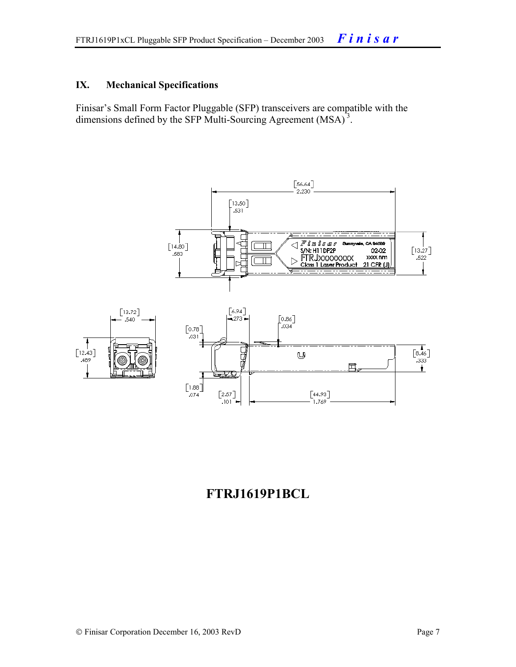#### **IX. Mechanical Specifications**

Finisar's Small Form Factor Pluggable (SFP) transceivers are compatible with the dimensions defined by the SFP Multi-Sourcing Agreement (MSA)<sup>3</sup>.



### **FTRJ1619P1BCL**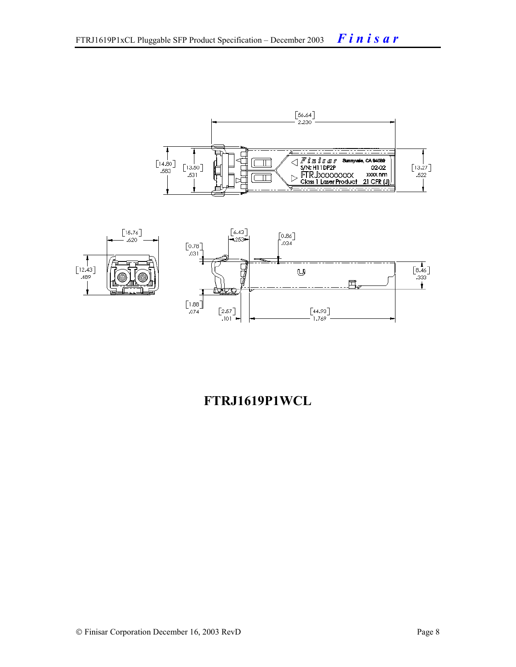



# **FTRJ1619P1WCL**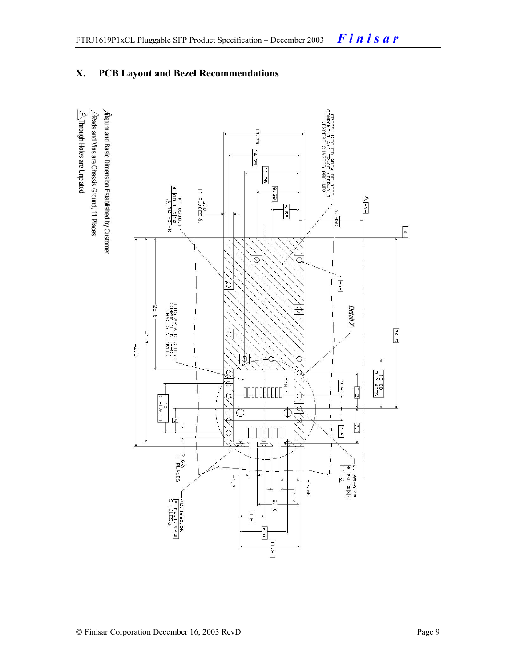### **X. PCB Layout and Bezel Recommendations**

 $\hat{\triangle}$ Through Holes are Unplated  $\triangle$ Rads and Vias are Chassis Ground, 11 Places  $\Delta$ atum and Basic Dimension Established by Customer

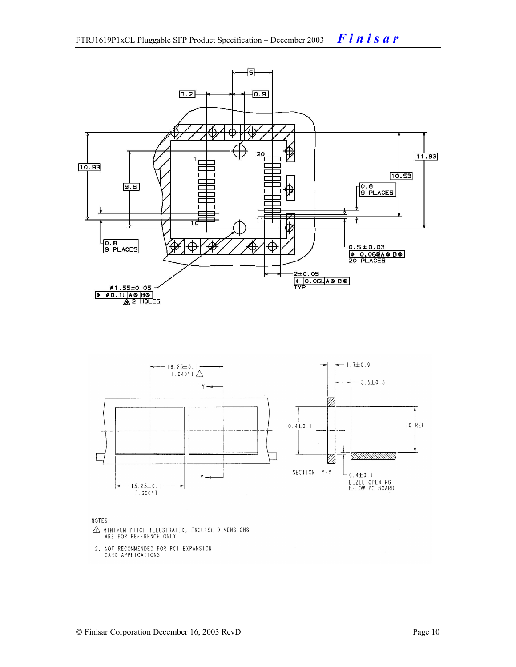

NOTES:

- $\triangle$  MINIMUM PITCH ILLUSTRATED, ENGLISH DIMENSIONS ARE FOR REFERENCE ONLY
- 2. NOT RECOMMENDED FOR PCI EXPANSION CARD APPLICATIONS